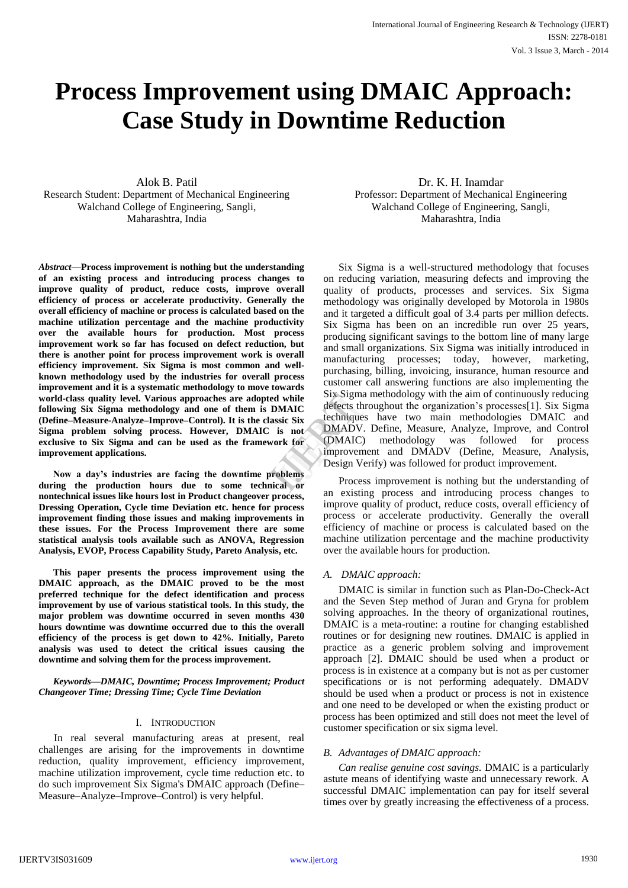# **Process Improvement using DMAIC Approach: Case Study in Downtime Reduction**

Alok B. Patil Research Student: Department of Mechanical Engineering Walchand College of Engineering, Sangli, Maharashtra, India

*Abstract***—Process improvement is nothing but the understanding of an existing process and introducing process changes to improve quality of product, reduce costs, improve overall efficiency of process or accelerate productivity. Generally the overall efficiency of machine or process is calculated based on the machine utilization percentage and the machine productivity over the available hours for production. Most process improvement work so far has focused on defect reduction, but there is another point for process improvement work is overall efficiency improvement. Six Sigma is most common and wellknown methodology used by the industries for overall process improvement and it is a systematic methodology to move towards world-class quality level. Various approaches are adopted while following Six Sigma methodology and one of them is DMAIC (Define–Measure-Analyze–Improve–Control). It is the classic Six Sigma problem solving process. However, DMAIC is not exclusive to Six Sigma and can be used as the framework for improvement applications.**

**Now a day's industries are facing the downtime problems during the production hours due to some technical or nontechnical issues like hours lost in Product changeover process, Dressing Operation, Cycle time Deviation etc. hence for process improvement finding those issues and making improvements in these issues. For the Process Improvement there are some statistical analysis tools available such as ANOVA, Regression Analysis, EVOP, Process Capability Study, Pareto Analysis, etc.** 

**This paper presents the process improvement using the DMAIC approach, as the DMAIC proved to be the most preferred technique for the defect identification and process improvement by use of various statistical tools. In this study, the major problem was downtime occurred in seven months 430 hours downtime was downtime occurred due to this the overall efficiency of the process is get down to 42%. Initially, Pareto analysis was used to detect the critical issues causing the downtime and solving them for the process improvement.** 

*Keywords—DMAIC, Downtime; Process Improvement; Product Changeover Time; Dressing Time; Cycle Time Deviation*

#### I. INTRODUCTION

In real several manufacturing areas at present, real challenges are arising for the improvements in downtime reduction, quality improvement, efficiency improvement, machine utilization improvement, cycle time reduction etc. to do such improvement Six Sigma's DMAIC approach (Define– Measure–Analyze–Improve–Control) is very helpful.

Dr. K. H. Inamdar Professor: Department of Mechanical Engineering Walchand College of Engineering, Sangli, Maharashtra, India

Six Sigma is a well-structured methodology that focuses on reducing variation, measuring defects and improving the quality of products, processes and services. Six Sigma methodology was originally developed by Motorola in 1980s and it targeted a difficult goal of 3.4 parts per million defects. Six Sigma has been on an incredible run over 25 years, producing significant savings to the bottom line of many large and small organizations. Six Sigma was initially introduced in manufacturing processes; today, however, marketing, purchasing, billing, invoicing, insurance, human resource and customer call answering functions are also implementing the Six Sigma methodology with the aim of continuously reducing defects throughout the organization's processes[1]. Six Sigma techniques have two main methodologies DMAIC and DMADV. Define, Measure, Analyze, Improve, and Control (DMAIC) methodology was followed for process improvement and DMADV (Define, Measure, Analysis, Design Verify) was followed for product improvement. I while<br> **I** while<br> **ISONALC**<br>
Six<br>
Six<br>
is not<br>
techniques<br>
is not<br>
DMADV. D<br>
IMADV. D<br>
improvement<br>
Design Verif<br>
blems<br>
Process i

Process improvement is nothing but the understanding of an existing process and introducing process changes to improve quality of product, reduce costs, overall efficiency of process or accelerate productivity. Generally the overall efficiency of machine or process is calculated based on the machine utilization percentage and the machine productivity over the available hours for production.

#### *A. DMAIC approach:*

DMAIC is similar in function such as Plan-Do-Check-Act and the Seven Step method of Juran and Gryna for problem solving approaches. In the theory of organizational routines, DMAIC is a meta-routine: a routine for changing established routines or for designing new routines. DMAIC is applied in practice as a generic problem solving and improvement approach [2]. DMAIC should be used when a product or process is in existence at a company but is not as per customer specifications or is not performing adequately. DMADV should be used when a product or process is not in existence and one need to be developed or when the existing product or process has been optimized and still does not meet the level of customer specification or six sigma level.

## *B. Advantages of DMAIC approach:*

*Can realise genuine cost savings.* DMAIC is a particularly astute means of identifying waste and unnecessary rework. A successful DMAIC implementation can pay for itself several times over by greatly increasing the effectiveness of a process.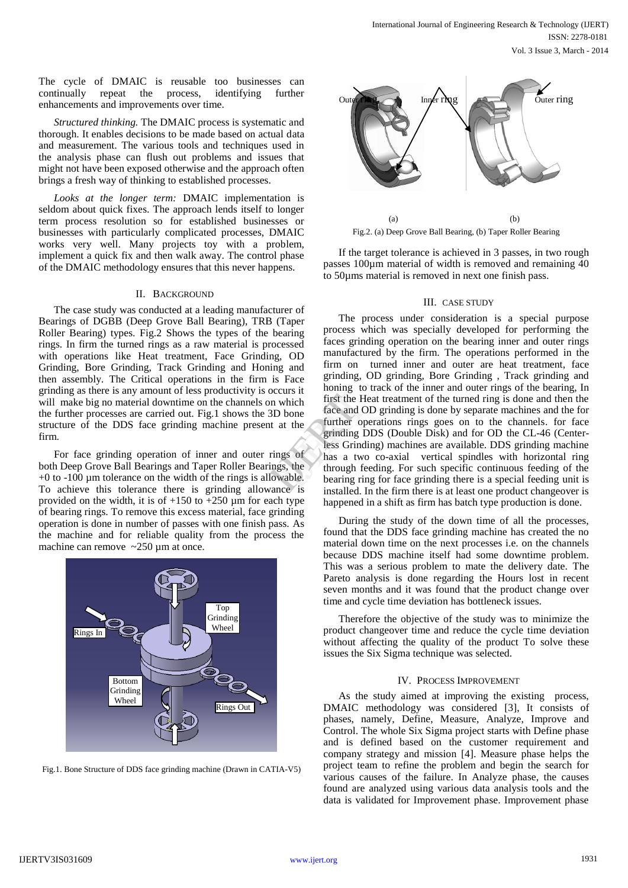The cycle of DMAIC is reusable too businesses can continually repeat the process, identifying further enhancements and improvements over time.

*Structured thinking.* The DMAIC process is systematic and thorough. It enables decisions to be made based on actual data and measurement. The various tools and techniques used in the analysis phase can flush out problems and issues that might not have been exposed otherwise and the approach often brings a fresh way of thinking to established processes.

*Looks at the longer term:* DMAIC implementation is seldom about quick fixes. The approach lends itself to longer term process resolution so for established businesses or businesses with particularly complicated processes, DMAIC works very well. Many projects toy with a problem, implement a quick fix and then walk away. The control phase of the DMAIC methodology ensures that this never happens.

### II. BACKGROUND

The case study was conducted at a leading manufacturer of Bearings of DGBB (Deep Grove Ball Bearing), TRB (Taper Roller Bearing) types. Fig.2 Shows the types of the bearing rings. In firm the turned rings as a raw material is processed with operations like Heat treatment, Face Grinding, OD Grinding, Bore Grinding, Track Grinding and Honing and then assembly. The Critical operations in the firm is Face grinding as there is any amount of less productivity is occurs it will make big no material downtime on the channels on which the further processes are carried out. Fig.1 shows the 3D bone structure of the DDS face grinding machine present at the firm.

For face grinding operation of inner and outer rings of both Deep Grove Ball Bearings and Taper Roller Bearings, the +0 to -100 µm tolerance on the width of the rings is allowable. To achieve this tolerance there is grinding allowance is provided on the width, it is of  $+150$  to  $+250$  µm for each type of bearing rings. To remove this excess material, face grinding operation is done in number of passes with one finish pass. As the machine and for reliable quality from the process the machine can remove ~250 µm at once.



Fig.1. Bone Structure of DDS face grinding machine (Drawn in CATIA-V5)



Fig.2. (a) Deep Grove Ball Bearing, (b) Taper Roller Bearing

If the target tolerance is achieved in 3 passes, in two rough passes 100µm material of width is removed and remaining 40 to 50µms material is removed in next one finish pass.

#### III. CASE STUDY

The process under consideration is a special purpose process which was specially developed for performing the faces grinding operation on the bearing inner and outer rings manufactured by the firm. The operations performed in the firm on turned inner and outer are heat treatment, face grinding, OD grinding, Bore Grinding , Track grinding and honing to track of the inner and outer rings of the bearing, In first the Heat treatment of the turned ring is done and then the face and OD grinding is done by separate machines and the for further operations rings goes on to the channels. for face grinding DDS (Double Disk) and for OD the CL-46 (Centerless Grinding) machines are available. DDS grinding machine has a two co-axial vertical spindles with horizontal ring through feeding. For such specific continuous feeding of the bearing ring for face grinding there is a special feeding unit is installed. In the firm there is at least one product changeover is happened in a shift as firm has batch type production is done. curs it<br>
which first the Heat<br>
of the face and OD<br>
at the further operation<br>
grinding DD<br>
less Grinding<br>
mags of thas a two comparison<br>
through feed<br>
wable. bearing ring<br>
bear installed by

> During the study of the down time of all the processes, found that the DDS face grinding machine has created the no material down time on the next processes i.e. on the channels because DDS machine itself had some downtime problem. This was a serious problem to mate the delivery date. The Pareto analysis is done regarding the Hours lost in recent seven months and it was found that the product change over time and cycle time deviation has bottleneck issues.

> Therefore the objective of the study was to minimize the product changeover time and reduce the cycle time deviation without affecting the quality of the product To solve these issues the Six Sigma technique was selected.

#### IV. PROCESS IMPROVEMENT

As the study aimed at improving the existing process, DMAIC methodology was considered [3], It consists of phases, namely, Define, Measure, Analyze, Improve and Control. The whole Six Sigma project starts with Define phase and is defined based on the customer requirement and company strategy and mission [4]. Measure phase helps the project team to refine the problem and begin the search for various causes of the failure. In Analyze phase, the causes found are analyzed using various data analysis tools and the data is validated for Improvement phase. Improvement phase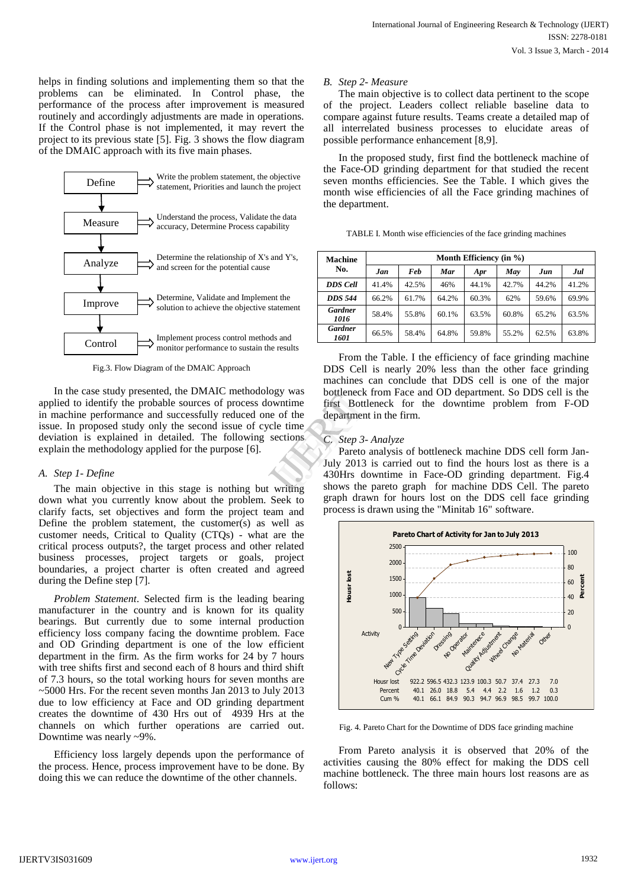helps in finding solutions and implementing them so that the problems can be eliminated. In Control phase, the performance of the process after improvement is measured routinely and accordingly adjustments are made in operations. If the Control phase is not implemented, it may revert the project to its previous state [5]. Fig. 3 shows the flow diagram of the DMAIC approach with its five main phases.



Fig.3. Flow Diagram of the DMAIC Approach

In the case study presented, the DMAIC methodology was applied to identify the probable sources of process downtime in machine performance and successfully reduced one of the issue. In proposed study only the second issue of cycle time deviation is explained in detailed. The following sections explain the methodology applied for the purpose [6].

#### *A. Step 1- Define*

The main objective in this stage is nothing but writing down what you currently know about the problem. Seek to clarify facts, set objectives and form the project team and Define the problem statement, the customer(s) as well as customer needs, Critical to Quality (CTQs) - what are the critical process outputs?, the target process and other related business processes, project targets or goals, project boundaries, a project charter is often created and agreed during the Define step [7].

*Problem Statement*. Selected firm is the leading bearing manufacturer in the country and is known for its quality bearings. But currently due to some internal production efficiency loss company facing the downtime problem. Face and OD Grinding department is one of the low efficient department in the firm. As the firm works for 24 by 7 hours with tree shifts first and second each of 8 hours and third shift of 7.3 hours, so the total working hours for seven months are ~5000 Hrs. For the recent seven months Jan 2013 to July 2013 due to low efficiency at Face and OD grinding department creates the downtime of 430 Hrs out of 4939 Hrs at the channels on which further operations are carried out. Downtime was nearly ~9%.

Efficiency loss largely depends upon the performance of the process. Hence, process improvement have to be done. By doing this we can reduce the downtime of the other channels.

#### *B. Step 2- Measure*

The main objective is to collect data pertinent to the scope of the project. Leaders collect reliable baseline data to compare against future results. Teams create a detailed map of all interrelated business processes to elucidate areas of possible performance enhancement [8,9].

In the proposed study, first find the bottleneck machine of the Face-OD grinding department for that studied the recent seven months efficiencies. See the Table. I which gives the month wise efficiencies of all the Face grinding machines of the department.

| <b>Machine</b>         | Month Efficiency (in %) |       |       |       |       |       |       |
|------------------------|-------------------------|-------|-------|-------|-------|-------|-------|
| No.                    | Jan                     | Feb   | Mar   | Apr   | May   | Jun   | Jul   |
| DDS Cell               | 41.4%                   | 42.5% | 46%   | 44.1% | 42.7% | 44.2% | 41.2% |
| DDS 544                | 66.2%                   | 61.7% | 64.2% | 60.3% | 62%   | 59.6% | 69.9% |
| <b>Gardner</b><br>1016 | 58.4%                   | 55.8% | 60.1% | 63.5% | 60.8% | 65.2% | 63.5% |
| <b>Gardner</b><br>1601 | 66.5%                   | 58.4% | 64.8% | 59.8% | 55.2% | 62.5% | 63.8% |

From the Table. I the efficiency of face grinding machine DDS Cell is nearly 20% less than the other face grinding machines can conclude that DDS cell is one of the major bottleneck from Face and OD department. So DDS cell is the first Bottleneck for the downtime problem from F-OD department in the firm.

## *C. Step 3- Analyze*

Pareto analysis of bottleneck machine DDS cell form Jan-July 2013 is carried out to find the hours lost as there is a 430Hrs downtime in Face-OD grinding department. Fig.4 shows the pareto graph for machine DDS Cell. The pareto graph drawn for hours lost on the DDS cell face grinding process is drawn using the "Minitab 16" software. gy was<br>
softleneck fr<br>
of the department in<br>
e time<br>
ections<br>
C. Step 3-A.<br>
Pareto an<br>
July 2013 is<br>
430Hrs dow<br>
shows the pareticle



Fig. 4. Pareto Chart for the Downtime of DDS face grinding machine

From Pareto analysis it is observed that 20% of the activities causing the 80% effect for making the DDS cell machine bottleneck. The three main hours lost reasons are as follows: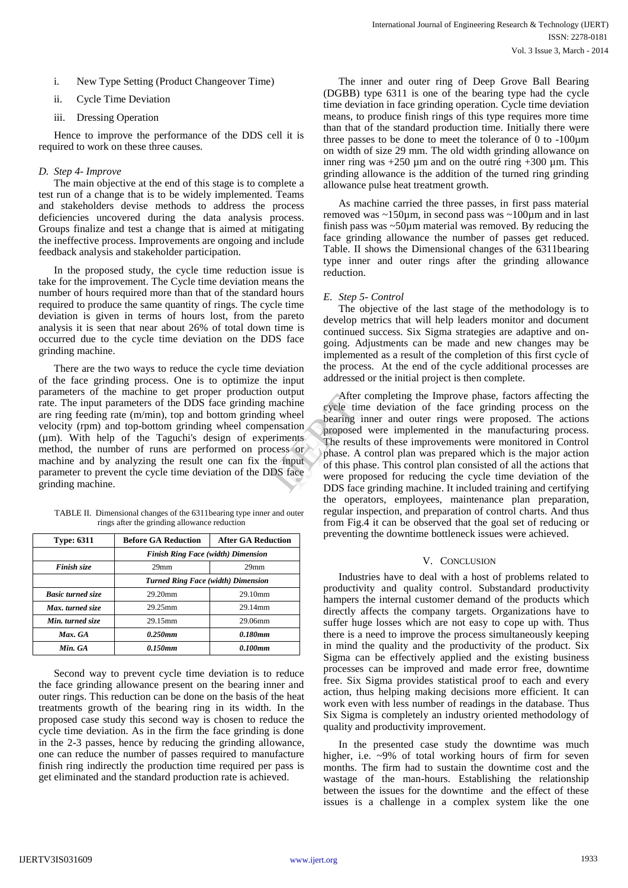- i. New Type Setting (Product Changeover Time)
- ii. Cycle Time Deviation
- iii. Dressing Operation

Hence to improve the performance of the DDS cell it is required to work on these three causes.

## *D. Step 4- Improve*

The main objective at the end of this stage is to complete a test run of a change that is to be widely implemented. Teams and stakeholders devise methods to address the process deficiencies uncovered during the data analysis process. Groups finalize and test a change that is aimed at mitigating the ineffective process. Improvements are ongoing and include feedback analysis and stakeholder participation.

In the proposed study, the cycle time reduction issue is take for the improvement. The Cycle time deviation means the number of hours required more than that of the standard hours required to produce the same quantity of rings. The cycle time deviation is given in terms of hours lost, from the pareto analysis it is seen that near about 26% of total down time is occurred due to the cycle time deviation on the DDS face grinding machine.

There are the two ways to reduce the cycle time deviation of the face grinding process. One is to optimize the input parameters of the machine to get proper production output rate. The input parameters of the DDS face grinding machine are ring feeding rate (m/min), top and bottom grinding wheel velocity (rpm) and top-bottom grinding wheel compensation (µm). With help of the Taguchi's design of experiments method, the number of runs are performed on process or machine and by analyzing the result one can fix the input parameter to prevent the cycle time deviation of the DDS face grinding machine.

| TABLE II. Dimensional changes of the 6311 bearing type inner and outer |
|------------------------------------------------------------------------|
| rings after the grinding allowance reduction                           |

| <b>Type: 6311</b>        | <b>Before GA Reduction</b>                | <b>After GA Reduction</b> |  |  |
|--------------------------|-------------------------------------------|---------------------------|--|--|
|                          | <b>Finish Ring Face (width) Dimension</b> |                           |  |  |
| Finish size              | 29 <sub>mm</sub>                          | 29 <sub>mm</sub>          |  |  |
|                          | <b>Turned Ring Face (width) Dimension</b> |                           |  |  |
| <b>Basic turned size</b> | $29.20$ mm                                | 29.10mm                   |  |  |
| Max. turned size         | 29.25mm                                   | 29.14mm                   |  |  |
| Min. turned size         | 29.15mm                                   | 29.06mm                   |  |  |
| Max. GA                  | 0.250mm                                   | 0.180mm                   |  |  |
| Min. GA                  | 0.150mm                                   | 0.100mm                   |  |  |

Second way to prevent cycle time deviation is to reduce the face grinding allowance present on the bearing inner and outer rings. This reduction can be done on the basis of the heat treatments growth of the bearing ring in its width. In the proposed case study this second way is chosen to reduce the cycle time deviation. As in the firm the face grinding is done in the 2-3 passes, hence by reducing the grinding allowance, one can reduce the number of passes required to manufacture finish ring indirectly the production time required per pass is get eliminated and the standard production rate is achieved.

The inner and outer ring of Deep Grove Ball Bearing (DGBB) type 6311 is one of the bearing type had the cycle time deviation in face grinding operation. Cycle time deviation means, to produce finish rings of this type requires more time than that of the standard production time. Initially there were three passes to be done to meet the tolerance of  $\ddot{0}$  to -100 $\mu$ m on width of size 29 mm. The old width grinding allowance on inner ring was  $+250 \mu m$  and on the outré ring  $+300 \mu m$ . This grinding allowance is the addition of the turned ring grinding allowance pulse heat treatment growth.

As machine carried the three passes, in first pass material removed was ~150µm, in second pass was ~100µm and in last finish pass was  $\sim$ 50 $\mu$ m material was removed. By reducing the face grinding allowance the number of passes get reduced. Table. II shows the Dimensional changes of the 6311bearing type inner and outer rings after the grinding allowance reduction.

## *E. Step 5- Control*

The objective of the last stage of the methodology is to develop metrics that will help leaders monitor and document continued success. Six Sigma strategies are adaptive and ongoing. Adjustments can be made and new changes may be implemented as a result of the completion of this first cycle of the process. At the end of the cycle additional processes are addressed or the initial project is then complete.

After completing the Improve phase, factors affecting the cycle time deviation of the face grinding process on the bearing inner and outer rings were proposed. The actions proposed were implemented in the manufacturing process. The results of these improvements were monitored in Control phase. A control plan was prepared which is the major action of this phase. This control plan consisted of all the actions that were proposed for reducing the cycle time deviation of the DDS face grinding machine. It included training and certifying the operators, employees, maintenance plan preparation, regular inspection, and preparation of control charts. And thus from Fig.4 it can be observed that the goal set of reducing or preventing the downtime bottleneck issues were achieved. output<br>
achine<br>
wheel<br>
wheel<br>
bearing inne<br>
bearing inne<br>
sation<br>
proposed we<br>
The results of<br>
this phase. A con-<br>
input<br>
S face<br>
S face<br>
DDS face stripped and this phase.

#### V. CONCLUSION

Industries have to deal with a host of problems related to productivity and quality control. Substandard productivity hampers the internal customer demand of the products which directly affects the company targets. Organizations have to suffer huge losses which are not easy to cope up with. Thus there is a need to improve the process simultaneously keeping in mind the quality and the productivity of the product. Six Sigma can be effectively applied and the existing business processes can be improved and made error free, downtime free. Six Sigma provides statistical proof to each and every action, thus helping making decisions more efficient. It can work even with less number of readings in the database. Thus Six Sigma is completely an industry oriented methodology of quality and productivity improvement.

In the presented case study the downtime was much higher, i.e. ~9% of total working hours of firm for seven months. The firm had to sustain the downtime cost and the wastage of the man-hours. Establishing the relationship between the issues for the downtime and the effect of these issues is a challenge in a complex system like the one